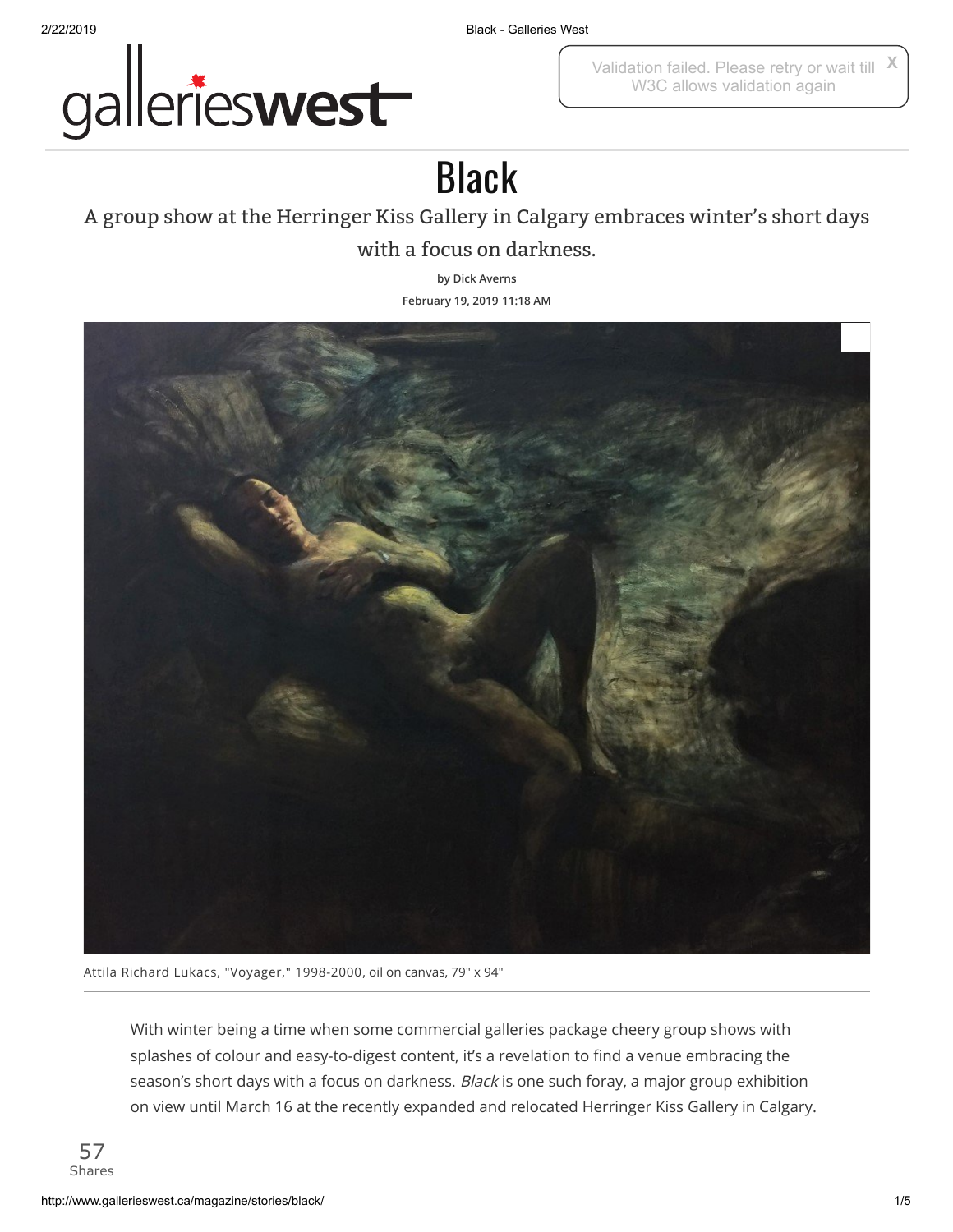

2/22/2019 Black - Galleries West

Validation failed. Please retry or wait till W3C allows validation again **X**

## Black

## A group show at the Herringer Kiss Gallery in Calgary embraces winter's short days with a focus on darkness.

**by Dick [Averns](http://www.gallerieswest.ca/topics/dick_averns/) February 19, 2019 11:18 AM**



Attila Richard Lukacs, "Voyager," 1998-2000, oil on canvas, 79" x 94"

With winter being a time when some commercial galleries package cheery group shows with splashes of colour and easy-to-digest content, it's a revelation to find a venue embracing the season's short days with a focus on darkness. Black is one such foray, a major group exhibition on view until March 16 at the recently expanded and relocated Herringer Kiss Gallery in Calgary.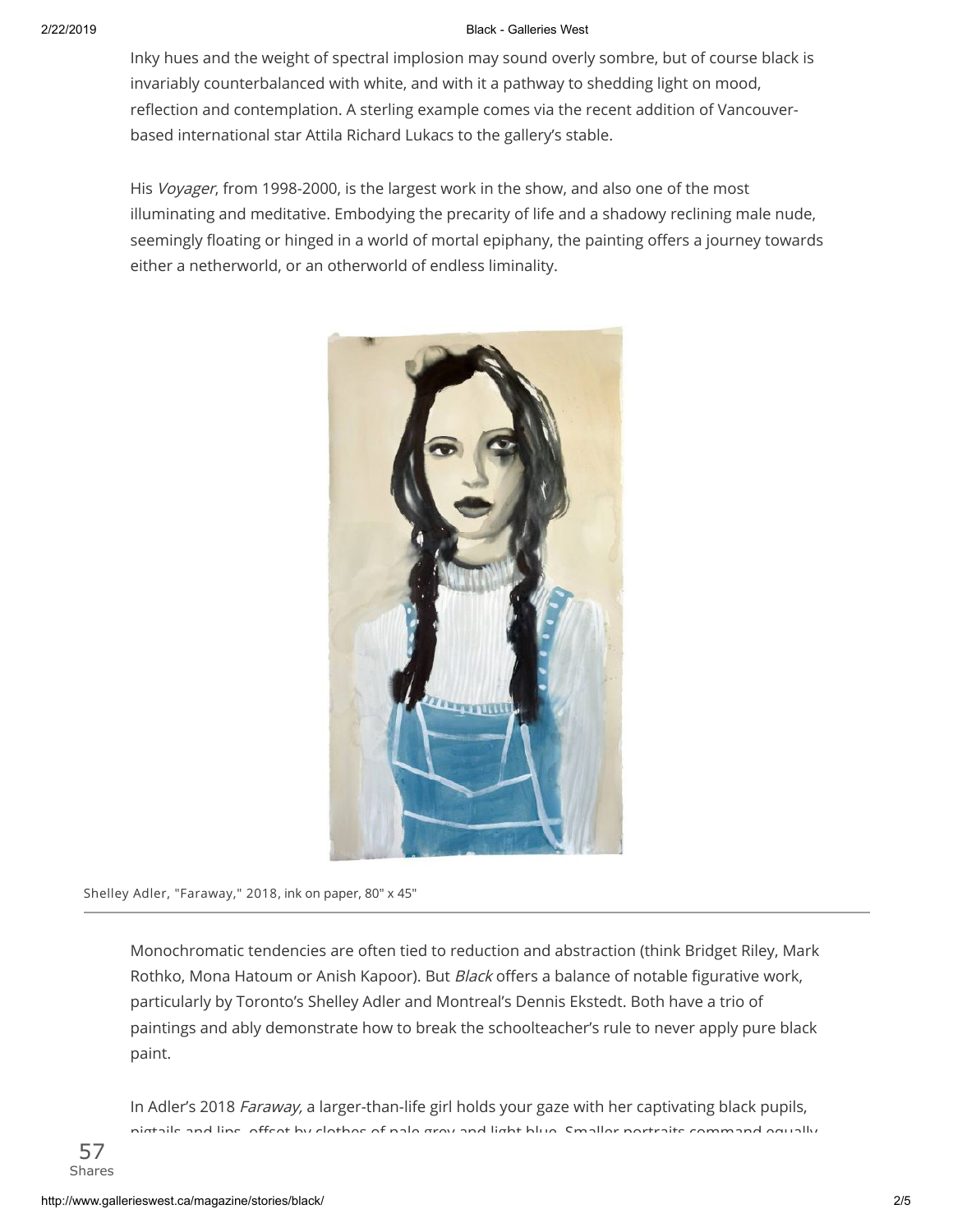## 2/22/2019 Black - Galleries West

Inky hues and the weight of spectral implosion may sound overly sombre, but of course black is invariably counterbalanced with white, and with it a pathway to shedding light on mood, reflection and contemplation. A sterling example comes via the recent addition of Vancouverbased international star Attila Richard Lukacs to the gallery's stable.

His Voyager, from 1998-2000, is the largest work in the show, and also one of the most illuminating and meditative. Embodying the precarity of life and a shadowy reclining male nude, seemingly floating or hinged in a world of mortal epiphany, the painting offers a journey towards either a netherworld, or an otherworld of endless liminality.



Shelley Adler, "Faraway," 2018, ink on paper, 80" x 45"

Monochromatic tendencies are often tied to reduction and abstraction (think Bridget Riley, Mark Rothko, Mona Hatoum or Anish Kapoor). But Black offers a balance of notable figurative work, particularly by Toronto's Shelley Adler and Montreal's Dennis Ekstedt. Both have a trio of paintings and ably demonstrate how to break the schoolteacher's rule to never apply pure black paint.

In Adler's 2018 Faraway, a larger-than-life girl holds your gaze with her captivating black pupils, pigtails and lips, oset by clothes of pale grey and light blue. Smaller portraits command equally

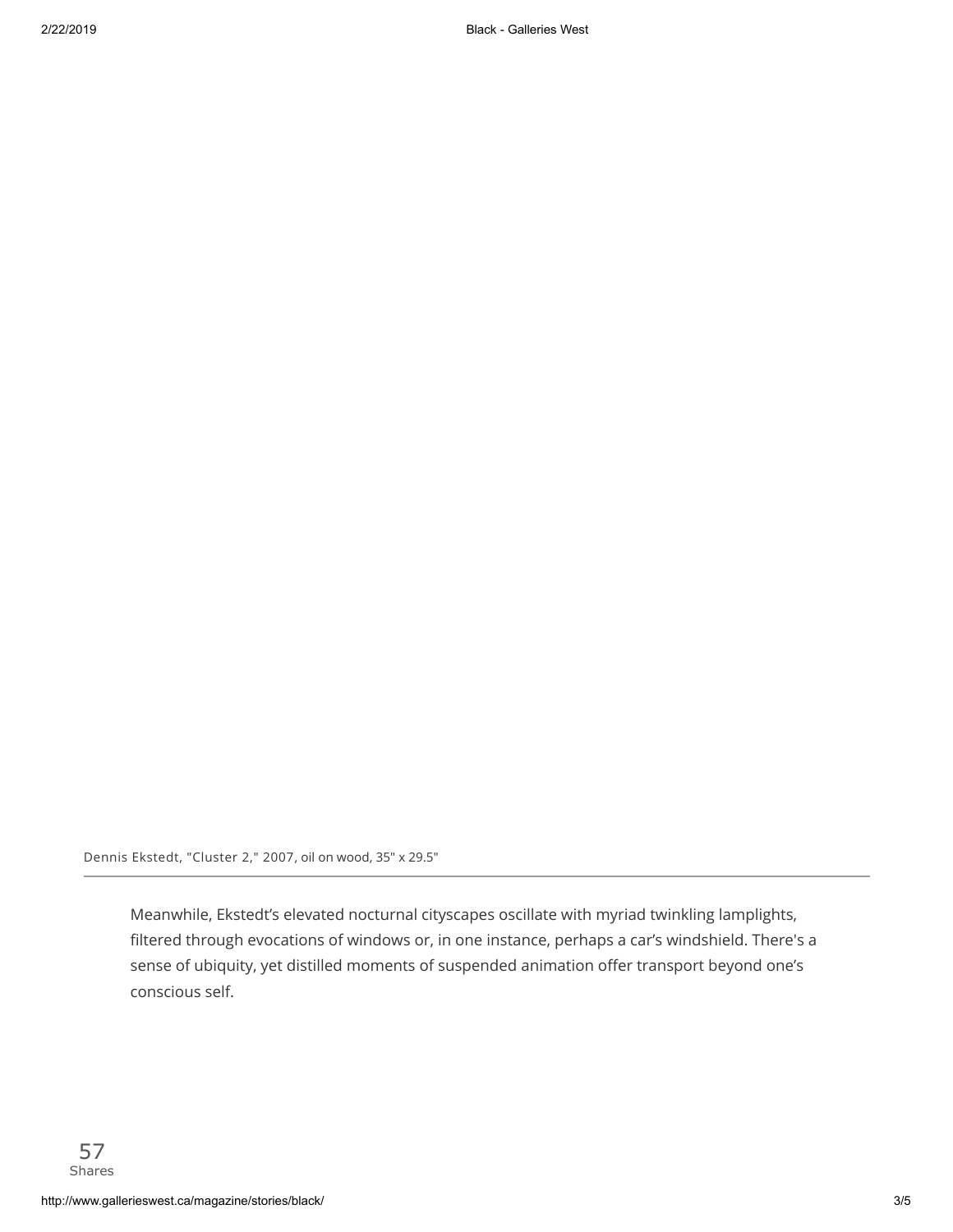Dennis Ekstedt, "Cluster 2," 2007, oil on wood, 35" x 29.5"

Meanwhile, Ekstedt's elevated nocturnal cityscapes oscillate with myriad twinkling lamplights, filtered through evocations of windows or, in one instance, perhaps a car's windshield. There's a sense of ubiquity, yet distilled moments of suspended animation offer transport beyond one's conscious self.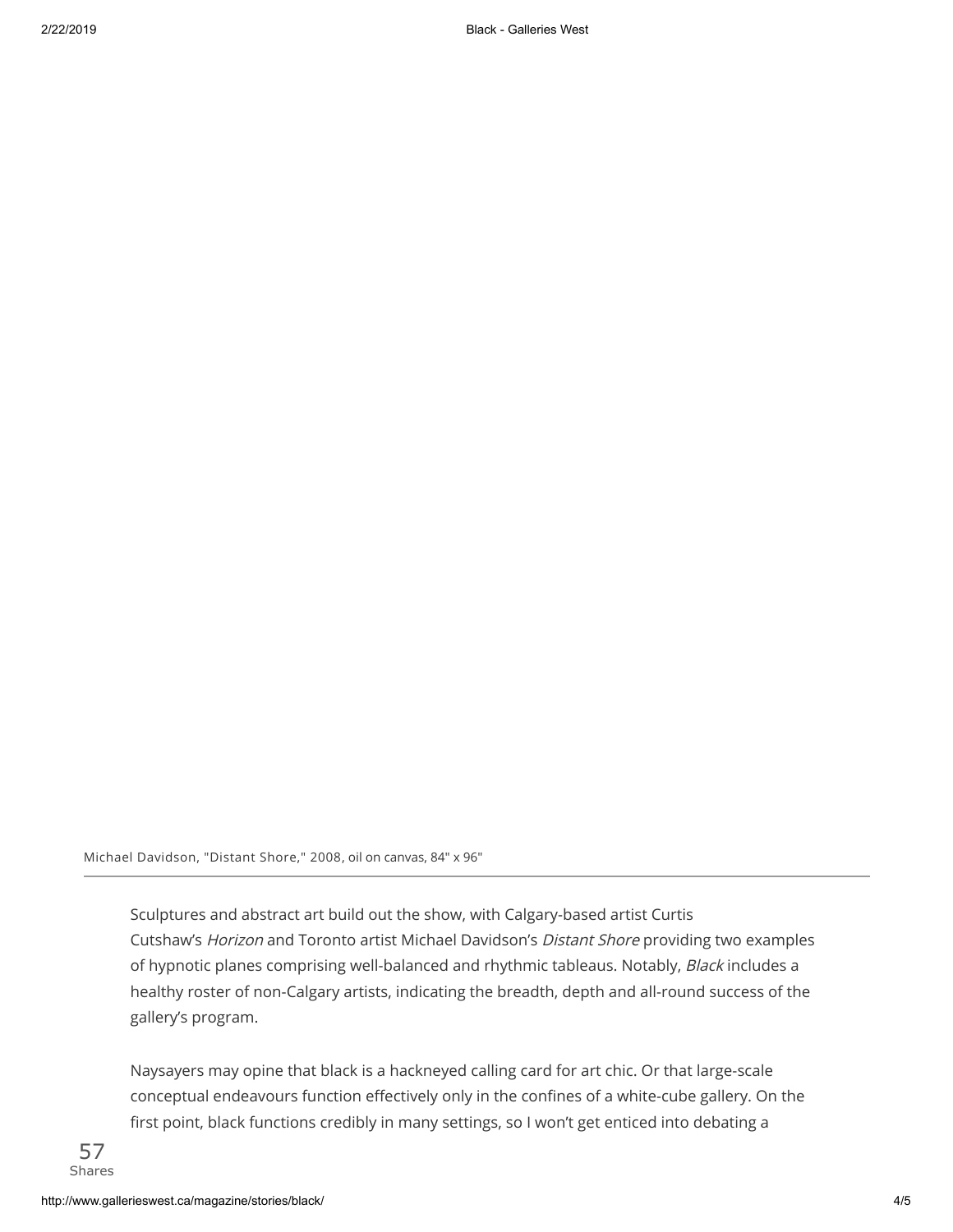Michael Davidson, "Distant Shore," 2008, oil on canvas, 84" x 96"

Sculptures and abstract art build out the show, with Calgary-based artist Curtis Cutshaw's Horizon and Toronto artist Michael Davidson's Distant Shore providing two examples of hypnotic planes comprising well-balanced and rhythmic tableaus. Notably, Black includes a healthy roster of non-Calgary artists, indicating the breadth, depth and all-round success of the gallery's program.

Naysayers may opine that black is a hackneyed calling card for art chic. Or that large-scale conceptual endeavours function effectively only in the confines of a white-cube gallery. On the first point, black functions credibly in many settings, so I won't get enticed into debating a